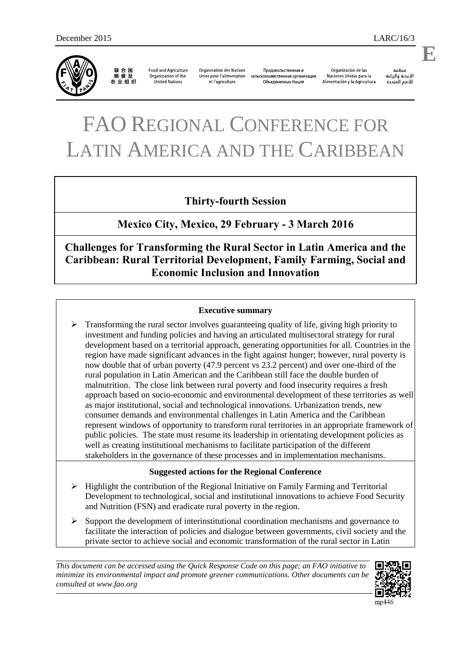

联合国 农业组织

**Food and Agriculture** Organization of the United Nations

**Organisation des Nations** Unies pour l'alimentation сельскохозяйственная организация et l'agriculture

Продовольственная и Объединенных Наций

Organización de las Naciones Unidas para la Alimentación y la Agricultura

änhin الأغذية والزراعة للأمم المتحدة

# FAO REGIONAL CONFERENCE FOR LATIN AMERICA AND THE CARIBBEAN

## **Thirty-fourth Session**

**Mexico City, Mexico, 29 February - 3 March 2016** 

**Challenges for Transforming the Rural Sector in Latin America and the Caribbean: Rural Territorial Development, Family Farming, Social and Economic Inclusion and Innovation** 

## **Executive summary**

 $\triangleright$  Transforming the rural sector involves guaranteeing quality of life, giving high priority to investment and funding policies and having an articulated multisectoral strategy for rural development based on a territorial approach, generating opportunities for all. Countries in the region have made significant advances in the fight against hunger; however, rural poverty is now double that of urban poverty (47.9 percent vs 23.2 percent) and over one-third of the rural population in Latin American and the Caribbean still face the double burden of malnutrition. The close link between rural poverty and food insecurity requires a fresh approach based on socio-economic and environmental development of these territories as well as major institutional, social and technological innovations. Urbanization trends, new consumer demands and environmental challenges in Latin America and the Caribbean represent windows of opportunity to transform rural territories in an appropriate framework of public policies. The state must resume its leadership in orientating development policies as well as creating institutional mechanisms to facilitate participation of the different stakeholders in the governance of these processes and in implementation mechanisms.

## **Suggested actions for the Regional Conference**

- $\triangleright$  Highlight the contribution of the Regional Initiative on Family Farming and Territorial Development to technological, social and institutional innovations to achieve Food Security and Nutrition (FSN) and eradicate rural poverty in the region.
- $\triangleright$  Support the development of interinstitutional coordination mechanisms and governance to facilitate the interaction of policies and dialogue between governments, civil society and the private sector to achieve social and economic transformation of the rural sector in Latin

*This document can be accessed using the Quick Response Code on this page; an FAO initiative to minimize its environmental impact and promote greener communications. Other documents can be consulted at www.fao.org*



 $mp4$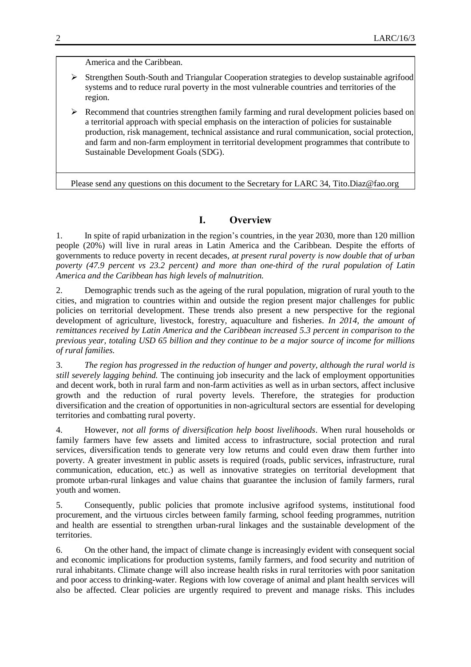America and the Caribbean.

- Strengthen South-South and Triangular Cooperation strategies to develop sustainable agrifood systems and to reduce rural poverty in the most vulnerable countries and territories of the region.
- Recommend that countries strengthen family farming and rural development policies based on a territorial approach with special emphasis on the interaction of policies for sustainable production, risk management, technical assistance and rural communication, social protection, and farm and non-farm employment in territorial development programmes that contribute to Sustainable Development Goals (SDG).

Please send any questions on this document to the Secretary for LARC 34, [Tito.Diaz@fao.org](mailto:Tito.Diaz@fao.org)

## **I. Overview**

1. In spite of rapid urbanization in the region's countries, in the year 2030, more than 120 million people (20%) will live in rural areas in Latin America and the Caribbean. Despite the efforts of governments to reduce poverty in recent decades, *at present rural poverty is now double that of urban poverty (47.9 percent vs 23.2 percent) and more than one-third of the rural population of Latin America and the Caribbean has high levels of malnutrition.* 

2. Demographic trends such as the ageing of the rural population, migration of rural youth to the cities, and migration to countries within and outside the region present major challenges for public policies on territorial development. These trends also present a new perspective for the regional development of agriculture, livestock, forestry, aquaculture and fisheries. *In 2014, the amount of remittances received by Latin America and the Caribbean increased 5.3 percent in comparison to the previous year, totaling USD 65 billion and they continue to be a major source of income for millions of rural families.* 

3. *The region has progressed in the reduction of hunger and poverty, although the rural world is still severely lagging behind.* The continuing job insecurity and the lack of employment opportunities and decent work, both in rural farm and non-farm activities as well as in urban sectors, affect inclusive growth and the reduction of rural poverty levels. Therefore, the strategies for production diversification and the creation of opportunities in non-agricultural sectors are essential for developing territories and combatting rural poverty.

4. However, *not all forms of diversification help boost livelihoods*. When rural households or family farmers have few assets and limited access to infrastructure, social protection and rural services, diversification tends to generate very low returns and could even draw them further into poverty. A greater investment in public assets is required (roads, public services, infrastructure, rural communication, education, etc.) as well as innovative strategies on territorial development that promote urban-rural linkages and value chains that guarantee the inclusion of family farmers, rural youth and women.

5. Consequently, public policies that promote inclusive agrifood systems, institutional food procurement, and the virtuous circles between family farming, school feeding programmes, nutrition and health are essential to strengthen urban-rural linkages and the sustainable development of the territories.

6. On the other hand, the impact of climate change is increasingly evident with consequent social and economic implications for production systems, family farmers, and food security and nutrition of rural inhabitants. Climate change will also increase health risks in rural territories with poor sanitation and poor access to drinking-water. Regions with low coverage of animal and plant health services will also be affected. Clear policies are urgently required to prevent and manage risks. This includes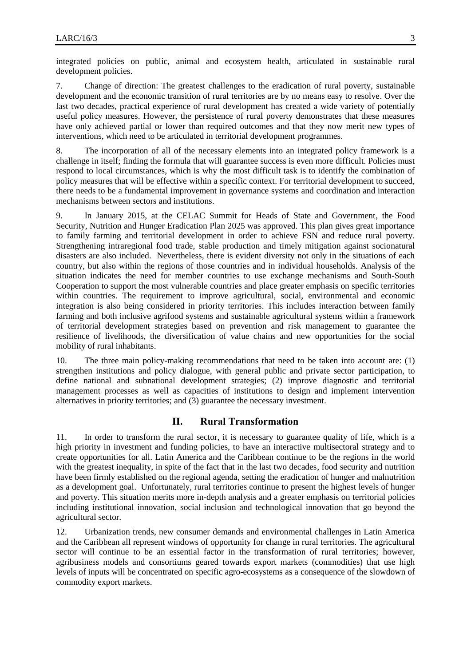integrated policies on public, animal and ecosystem health, articulated in sustainable rural development policies.

7. Change of direction: The greatest challenges to the eradication of rural poverty, sustainable development and the economic transition of rural territories are by no means easy to resolve. Over the last two decades, practical experience of rural development has created a wide variety of potentially useful policy measures. However, the persistence of rural poverty demonstrates that these measures have only achieved partial or lower than required outcomes and that they now merit new types of interventions, which need to be articulated in territorial development programmes.

8. The incorporation of all of the necessary elements into an integrated policy framework is a challenge in itself; finding the formula that will guarantee success is even more difficult. Policies must respond to local circumstances, which is why the most difficult task is to identify the combination of policy measures that will be effective within a specific context. For territorial development to succeed, there needs to be a fundamental improvement in governance systems and coordination and interaction mechanisms between sectors and institutions.

9. In January 2015, at the CELAC Summit for Heads of State and Government, the Food Security, Nutrition and Hunger Eradication Plan 2025 was approved. This plan gives great importance to family farming and territorial development in order to achieve FSN and reduce rural poverty. Strengthening intraregional food trade, stable production and timely mitigation against socionatural disasters are also included. Nevertheless, there is evident diversity not only in the situations of each country, but also within the regions of those countries and in individual households. Analysis of the situation indicates the need for member countries to use exchange mechanisms and South-South Cooperation to support the most vulnerable countries and place greater emphasis on specific territories within countries. The requirement to improve agricultural, social, environmental and economic integration is also being considered in priority territories. This includes interaction between family farming and both inclusive agrifood systems and sustainable agricultural systems within a framework of territorial development strategies based on prevention and risk management to guarantee the resilience of livelihoods, the diversification of value chains and new opportunities for the social mobility of rural inhabitants.

10. The three main policy-making recommendations that need to be taken into account are: (1) strengthen institutions and policy dialogue, with general public and private sector participation, to define national and subnational development strategies; (2) improve diagnostic and territorial management processes as well as capacities of institutions to design and implement intervention alternatives in priority territories; and (3) guarantee the necessary investment.

#### **II. Rural Transformation**

11. In order to transform the rural sector, it is necessary to guarantee quality of life, which is a high priority in investment and funding policies, to have an interactive multisectoral strategy and to create opportunities for all. Latin America and the Caribbean continue to be the regions in the world with the greatest inequality, in spite of the fact that in the last two decades, food security and nutrition have been firmly established on the regional agenda, setting the eradication of hunger and malnutrition as a development goal. Unfortunately, rural territories continue to present the highest levels of hunger and poverty. This situation merits more in-depth analysis and a greater emphasis on territorial policies including institutional innovation, social inclusion and technological innovation that go beyond the agricultural sector.

12. Urbanization trends, new consumer demands and environmental challenges in Latin America and the Caribbean all represent windows of opportunity for change in rural territories. The agricultural sector will continue to be an essential factor in the transformation of rural territories; however, agribusiness models and consortiums geared towards export markets (commodities) that use high levels of inputs will be concentrated on specific agro-ecosystems as a consequence of the slowdown of commodity export markets.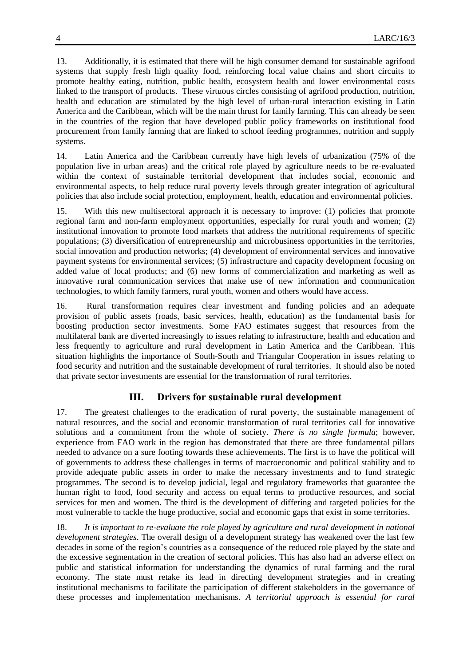13. Additionally, it is estimated that there will be high consumer demand for sustainable agrifood systems that supply fresh high quality food, reinforcing local value chains and short circuits to promote healthy eating, nutrition, public health, ecosystem health and lower environmental costs linked to the transport of products. These virtuous circles consisting of agrifood production, nutrition, health and education are stimulated by the high level of urban-rural interaction existing in Latin America and the Caribbean, which will be the main thrust for family farming. This can already be seen in the countries of the region that have developed public policy frameworks on institutional food procurement from family farming that are linked to school feeding programmes, nutrition and supply systems.

14. Latin America and the Caribbean currently have high levels of urbanization (75% of the population live in urban areas) and the critical role played by agriculture needs to be re-evaluated within the context of sustainable territorial development that includes social, economic and environmental aspects, to help reduce rural poverty levels through greater integration of agricultural policies that also include social protection, employment, health, education and environmental policies.

15. With this new multisectoral approach it is necessary to improve: (1) policies that promote regional farm and non-farm employment opportunities, especially for rural youth and women; (2) institutional innovation to promote food markets that address the nutritional requirements of specific populations; (3) diversification of entrepreneurship and microbusiness opportunities in the territories, social innovation and production networks; (4) development of environmental services and innovative payment systems for environmental services; (5) infrastructure and capacity development focusing on added value of local products; and (6) new forms of commercialization and marketing as well as innovative rural communication services that make use of new information and communication technologies, to which family farmers, rural youth, women and others would have access.

16. Rural transformation requires clear investment and funding policies and an adequate provision of public assets (roads, basic services, health, education) as the fundamental basis for boosting production sector investments. Some FAO estimates suggest that resources from the multilateral bank are diverted increasingly to issues relating to infrastructure, health and education and less frequently to agriculture and rural development in Latin America and the Caribbean. This situation highlights the importance of South-South and Triangular Cooperation in issues relating to food security and nutrition and the sustainable development of rural territories. It should also be noted that private sector investments are essential for the transformation of rural territories.

## **III. Drivers for sustainable rural development**

17. The greatest challenges to the eradication of rural poverty, the sustainable management of natural resources, and the social and economic transformation of rural territories call for innovative solutions and a commitment from the whole of society. *There is no single formula*; however, experience from FAO work in the region has demonstrated that there are three fundamental pillars needed to advance on a sure footing towards these achievements. The first is to have the political will of governments to address these challenges in terms of macroeconomic and political stability and to provide adequate public assets in order to make the necessary investments and to fund strategic programmes. The second is to develop judicial, legal and regulatory frameworks that guarantee the human right to food, food security and access on equal terms to productive resources, and social services for men and women. The third is the development of differing and targeted policies for the most vulnerable to tackle the huge productive, social and economic gaps that exist in some territories.

18. *It is important to re-evaluate the role played by agriculture and rural development in national development strategies*. The overall design of a development strategy has weakened over the last few decades in some of the region's countries as a consequence of the reduced role played by the state and the excessive segmentation in the creation of sectoral policies. This has also had an adverse effect on public and statistical information for understanding the dynamics of rural farming and the rural economy. The state must retake its lead in directing development strategies and in creating institutional mechanisms to facilitate the participation of different stakeholders in the governance of these processes and implementation mechanisms. *A territorial approach is essential for rural*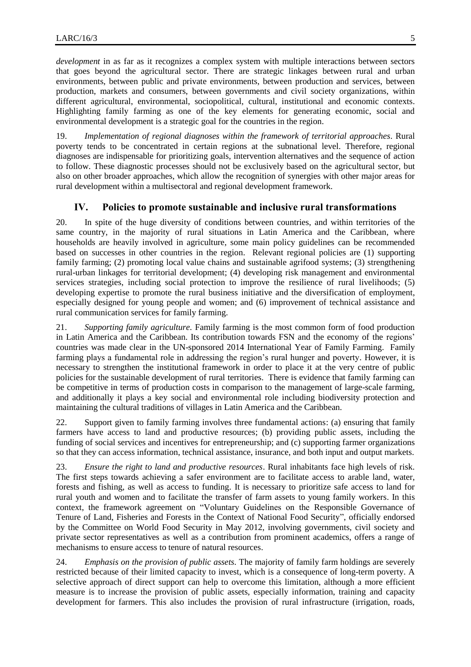*development* in as far as it recognizes a complex system with multiple interactions between sectors that goes beyond the agricultural sector. There are strategic linkages between rural and urban environments, between public and private environments, between production and services, between production, markets and consumers, between governments and civil society organizations, within different agricultural, environmental, sociopolitical, cultural, institutional and economic contexts. Highlighting family farming as one of the key elements for generating economic, social and environmental development is a strategic goal for the countries in the region.

19. *Implementation of regional diagnoses within the framework of territorial approaches*. Rural poverty tends to be concentrated in certain regions at the subnational level. Therefore, regional diagnoses are indispensable for prioritizing goals, intervention alternatives and the sequence of action to follow. These diagnostic processes should not be exclusively based on the agricultural sector, but also on other broader approaches, which allow the recognition of synergies with other major areas for rural development within a multisectoral and regional development framework.

#### **IV. Policies to promote sustainable and inclusive rural transformations**

20. In spite of the huge diversity of conditions between countries, and within territories of the same country, in the majority of rural situations in Latin America and the Caribbean, where households are heavily involved in agriculture, some main policy guidelines can be recommended based on successes in other countries in the region. Relevant regional policies are (1) supporting family farming; (2) promoting local value chains and sustainable agrifood systems; (3) strengthening rural-urban linkages for territorial development; (4) developing risk management and environmental services strategies, including social protection to improve the resilience of rural livelihoods; (5) developing expertise to promote the rural business initiative and the diversification of employment, especially designed for young people and women; and (6) improvement of technical assistance and rural communication services for family farming.

21. *Supporting family agriculture.* Family farming is the most common form of food production in Latin America and the Caribbean. Its contribution towards FSN and the economy of the regions' countries was made clear in the UN-sponsored 2014 International Year of Family Farming. Family farming plays a fundamental role in addressing the region's rural hunger and poverty. However, it is necessary to strengthen the institutional framework in order to place it at the very centre of public policies for the sustainable development of rural territories. There is evidence that family farming can be competitive in terms of production costs in comparison to the management of large-scale farming, and additionally it plays a key social and environmental role including biodiversity protection and maintaining the cultural traditions of villages in Latin America and the Caribbean.

22. Support given to family farming involves three fundamental actions: (a) ensuring that family farmers have access to land and productive resources; (b) providing public assets, including the funding of social services and incentives for entrepreneurship; and (c) supporting farmer organizations so that they can access information, technical assistance, insurance, and both input and output markets.

23. *Ensure the right to land and productive resources*. Rural inhabitants face high levels of risk. The first steps towards achieving a safer environment are to facilitate access to arable land, water, forests and fishing, as well as access to funding. It is necessary to prioritize safe access to land for rural youth and women and to facilitate the transfer of farm assets to young family workers. In this context, the framework agreement on "Voluntary Guidelines on the Responsible Governance of Tenure of Land, Fisheries and Forests in the Context of National Food Security", officially endorsed by the Committee on World Food Security in May 2012, involving governments, civil society and private sector representatives as well as a contribution from prominent academics, offers a range of mechanisms to ensure access to tenure of natural resources.

24. *Emphasis on the provision of public assets.* The majority of family farm holdings are severely restricted because of their limited capacity to invest, which is a consequence of long-term poverty. A selective approach of direct support can help to overcome this limitation, although a more efficient measure is to increase the provision of public assets, especially information, training and capacity development for farmers. This also includes the provision of rural infrastructure (irrigation, roads,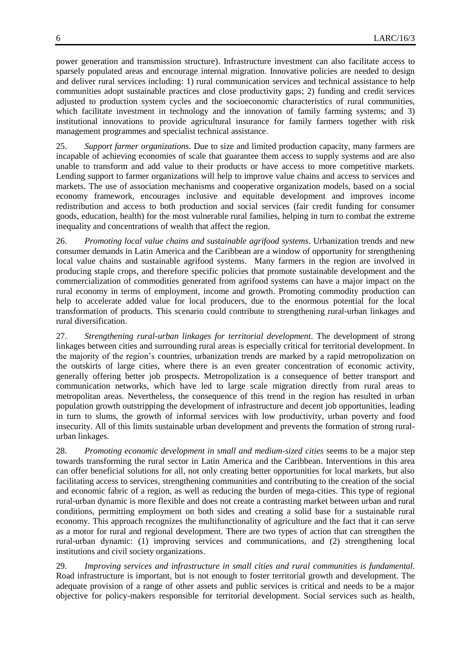power generation and transmission structure). Infrastructure investment can also facilitate access to sparsely populated areas and encourage internal migration. Innovative policies are needed to design and deliver rural services including: 1) rural communication services and technical assistance to help communities adopt sustainable practices and close productivity gaps; 2) funding and credit services adjusted to production system cycles and the socioeconomic characteristics of rural communities, which facilitate investment in technology and the innovation of family farming systems; and 3) institutional innovations to provide agricultural insurance for family farmers together with risk management programmes and specialist technical assistance.

25. *Support farmer organizations*. Due to size and limited production capacity, many farmers are incapable of achieving economies of scale that guarantee them access to supply systems and are also unable to transform and add value to their products or have access to more competitive markets. Lending support to farmer organizations will help to improve value chains and access to services and markets. The use of association mechanisms and cooperative organization models, based on a social economy framework, encourages inclusive and equitable development and improves income redistribution and access to both production and social services (fair credit funding for consumer goods, education, health) for the most vulnerable rural families, helping in turn to combat the extreme inequality and concentrations of wealth that affect the region.

26. *Promoting local value chains and sustainable agrifood systems*. Urbanization trends and new consumer demands in Latin America and the Caribbean are a window of opportunity for strengthening local value chains and sustainable agrifood systems. Many farmers in the region are involved in producing staple crops, and therefore specific policies that promote sustainable development and the commercialization of commodities generated from agrifood systems can have a major impact on the rural economy in terms of employment, income and growth. Promoting commodity production can help to accelerate added value for local producers, due to the enormous potential for the local transformation of products. This scenario could contribute to strengthening rural-urban linkages and rural diversification.

27. *Strengthening rural-urban linkages for territorial development*. The development of strong linkages between cities and surrounding rural areas is especially critical for territorial development. In the majority of the region's countries, urbanization trends are marked by a rapid metropolization on the outskirts of large cities, where there is an even greater concentration of economic activity, generally offering better job prospects. Metropolization is a consequence of better transport and communication networks, which have led to large scale migration directly from rural areas to metropolitan areas. Nevertheless, the consequence of this trend in the region has resulted in urban population growth outstripping the development of infrastructure and decent job opportunities, leading in turn to slums, the growth of informal services with low productivity, urban poverty and food insecurity. All of this limits sustainable urban development and prevents the formation of strong ruralurban linkages.

28. *Promoting economic development in small and medium-sized cities* seems to be a major step towards transforming the rural sector in Latin America and the Caribbean. Interventions in this area can offer beneficial solutions for all, not only creating better opportunities for local markets, but also facilitating access to services, strengthening communities and contributing to the creation of the social and economic fabric of a region, as well as reducing the burden of mega-cities. This type of regional rural-urban dynamic is more flexible and does not create a contrasting market between urban and rural conditions, permitting employment on both sides and creating a solid base for a sustainable rural economy. This approach recognizes the multifunctionality of agriculture and the fact that it can serve as a motor for rural and regional development. There are two types of action that can strengthen the rural-urban dynamic: (1) improving services and communications, and (2) strengthening local institutions and civil society organizations.

29. *Improving services and infrastructure in small cities and rural communities is fundamental*. Road infrastructure is important, but is not enough to foster territorial growth and development. The adequate provision of a range of other assets and public services is critical and needs to be a major objective for policy-makers responsible for territorial development. Social services such as health,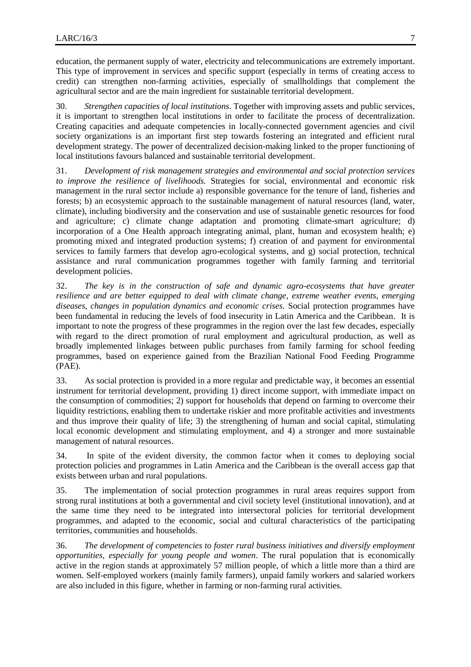education, the permanent supply of water, electricity and telecommunications are extremely important. This type of improvement in services and specific support (especially in terms of creating access to credit) can strengthen non-farming activities, especially of smallholdings that complement the agricultural sector and are the main ingredient for sustainable territorial development.

30. *Strengthen capacities of local institutions*. Together with improving assets and public services, it is important to strengthen local institutions in order to facilitate the process of decentralization. Creating capacities and adequate competencies in locally-connected government agencies and civil society organizations is an important first step towards fostering an integrated and efficient rural development strategy. The power of decentralized decision-making linked to the proper functioning of local institutions favours balanced and sustainable territorial development.

31. *Development of risk management strategies and environmental and social protection services to improve the resilience of livelihoods.* Strategies for social, environmental and economic risk management in the rural sector include a) responsible governance for the tenure of land, fisheries and forests; b) an ecosystemic approach to the sustainable management of natural resources (land, water, climate), including biodiversity and the conservation and use of sustainable genetic resources for food and agriculture; c) climate change adaptation and promoting climate-smart agriculture; d) incorporation of a One Health approach integrating animal, plant, human and ecosystem health; e) promoting mixed and integrated production systems; f) creation of and payment for environmental services to family farmers that develop agro-ecological systems, and g) social protection, technical assistance and rural communication programmes together with family farming and territorial development policies.

32. *The key is in the construction of safe and dynamic agro-ecosystems that have greater resilience and are better equipped to deal with climate change, extreme weather events, emerging diseases, changes in population dynamics and economic crises.* Social protection programmes have been fundamental in reducing the levels of food insecurity in Latin America and the Caribbean. It is important to note the progress of these programmes in the region over the last few decades, especially with regard to the direct promotion of rural employment and agricultural production, as well as broadly implemented linkages between public purchases from family farming for school feeding programmes, based on experience gained from the Brazilian National Food Feeding Programme (PAE).

33. As social protection is provided in a more regular and predictable way, it becomes an essential instrument for territorial development, providing 1) direct income support, with immediate impact on the consumption of commodities; 2) support for households that depend on farming to overcome their liquidity restrictions, enabling them to undertake riskier and more profitable activities and investments and thus improve their quality of life; 3) the strengthening of human and social capital, stimulating local economic development and stimulating employment, and 4) a stronger and more sustainable management of natural resources.

34. In spite of the evident diversity, the common factor when it comes to deploying social protection policies and programmes in Latin America and the Caribbean is the overall access gap that exists between urban and rural populations.

35. The implementation of social protection programmes in rural areas requires support from strong rural institutions at both a governmental and civil society level (institutional innovation), and at the same time they need to be integrated into intersectoral policies for territorial development programmes, and adapted to the economic, social and cultural characteristics of the participating territories, communities and households.

36. *The development of competencies to foster rural business initiatives and diversify employment opportunities, especially for young people and women*. The rural population that is economically active in the region stands at approximately 57 million people, of which a little more than a third are women. Self-employed workers (mainly family farmers), unpaid family workers and salaried workers are also included in this figure, whether in farming or non-farming rural activities.